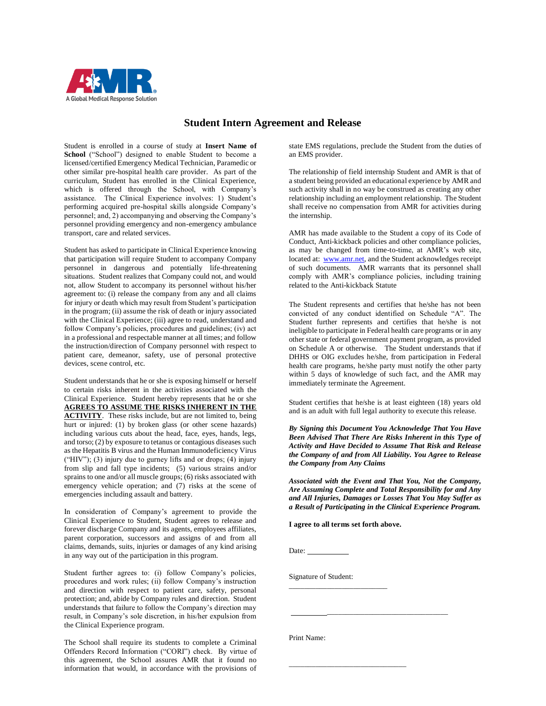

## **Student Intern Agreement and Release**

Student is enrolled in a course of study at **Insert Name of School** ("School") designed to enable Student to become a licensed/certified Emergency Medical Technician, Paramedic or other similar pre-hospital health care provider. As part of the curriculum, Student has enrolled in the Clinical Experience, which is offered through the School, with Company's assistance. The Clinical Experience involves: 1) Student's performing acquired pre-hospital skills alongside Company's personnel; and, 2) accompanying and observing the Company's personnel providing emergency and non-emergency ambulance transport, care and related services.

Student has asked to participate in Clinical Experience knowing that participation will require Student to accompany Company personnel in dangerous and potentially life-threatening situations. Student realizes that Company could not, and would not, allow Student to accompany its personnel without his/her agreement to: (i) release the company from any and all claims for injury or death which may result from Student's participation in the program; (ii) assume the risk of death or injury associated with the Clinical Experience; (iii) agree to read, understand and follow Company's policies, procedures and guidelines; (iv) act in a professional and respectable manner at all times; and follow the instruction/direction of Company personnel with respect to patient care, demeanor, safety, use of personal protective devices, scene control, etc.

Student understands that he or she is exposing himself or herself to certain risks inherent in the activities associated with the Clinical Experience. Student hereby represents that he or she **AGREES TO ASSUME THE RISKS INHERENT IN THE ACTIVITY**. These risks include, but are not limited to, being hurt or injured: (1) by broken glass (or other scene hazards) including various cuts about the head, face, eyes, hands, legs, and torso; (2) by exposure to tetanus or contagious diseases such as the Hepatitis B virus and the Human Immunodeficiency Virus ("HIV");  $(3)$  injury due to gurney lifts and or drops;  $(4)$  injury from slip and fall type incidents; (5) various strains and/or sprains to one and/or all muscle groups; (6) risks associated with emergency vehicle operation; and (7) risks at the scene of emergencies including assault and battery.

In consideration of Company's agreement to provide the Clinical Experience to Student, Student agrees to release and forever discharge Company and its agents, employees affiliates, parent corporation, successors and assigns of and from all claims, demands, suits, injuries or damages of any kind arising in any way out of the participation in this program.

Student further agrees to: (i) follow Company's policies, procedures and work rules; (ii) follow Company's instruction and direction with respect to patient care, safety, personal protection; and, abide by Company rules and direction. Student understands that failure to follow the Company's direction may result, in Company's sole discretion, in his/her expulsion from the Clinical Experience program.

The School shall require its students to complete a Criminal Offenders Record Information ("CORI") check. By virtue of this agreement, the School assures AMR that it found no information that would, in accordance with the provisions of state EMS regulations, preclude the Student from the duties of an EMS provider.

The relationship of field internship Student and AMR is that of a student being provided an educational experience by AMR and such activity shall in no way be construed as creating any other relationship including an employment relationship. The Student shall receive no compensation from AMR for activities during the internship.

AMR has made available to the Student a copy of its Code of Conduct, Anti-kickback policies and other compliance policies, as may be changed from time-to-time, at AMR's web site, located at: [www.amr.net,](http://www.amr.net/) and the Student acknowledges receipt of such documents. AMR warrants that its personnel shall comply with AMR's compliance policies, including training related to the Anti-kickback Statute

The Student represents and certifies that he/she has not been convicted of any conduct identified on Schedule "A". The Student further represents and certifies that he/she is not ineligible to participate in Federal health care programs or in any other state or federal government payment program, as provided on Schedule A or otherwise. The Student understands that if DHHS or OIG excludes he/she, from participation in Federal health care programs, he/she party must notify the other party within 5 days of knowledge of such fact, and the AMR may immediately terminate the Agreement.

Student certifies that he/she is at least eighteen (18) years old and is an adult with full legal authority to execute this release.

*By Signing this Document You Acknowledge That You Have Been Advised That There Are Risks Inherent in this Type of Activity and Have Decided to Assume That Risk and Release the Company of and from All Liability. You Agree to Release the Company from Any Claims* 

*Associated with the Event and That You, Not the Company, Are Assuming Complete and Total Responsibility for and Any and All Injuries, Damages or Losses That You May Suffer as a Result of Participating in the Clinical Experience Program.*

**I agree to all terms set forth above.**

Date:

Signature of Student:

\_\_\_\_\_\_\_\_\_\_\_\_\_\_\_\_\_\_\_\_\_\_\_\_\_\_

 $\_$ 

\_\_\_\_\_\_\_\_\_\_\_\_\_\_\_\_\_\_\_\_\_\_\_\_\_\_\_\_\_\_\_\_

Print Name: